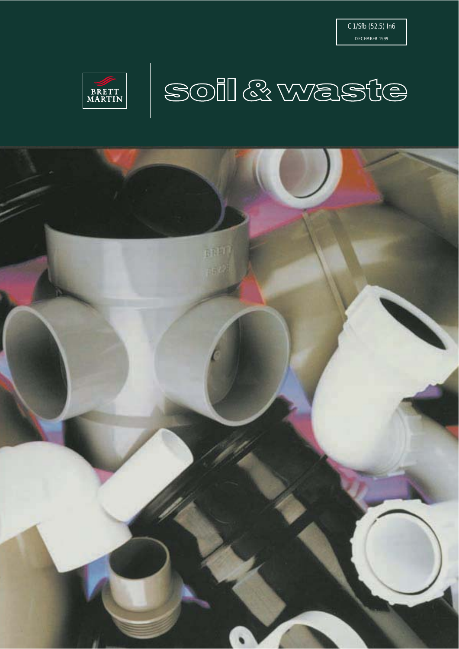



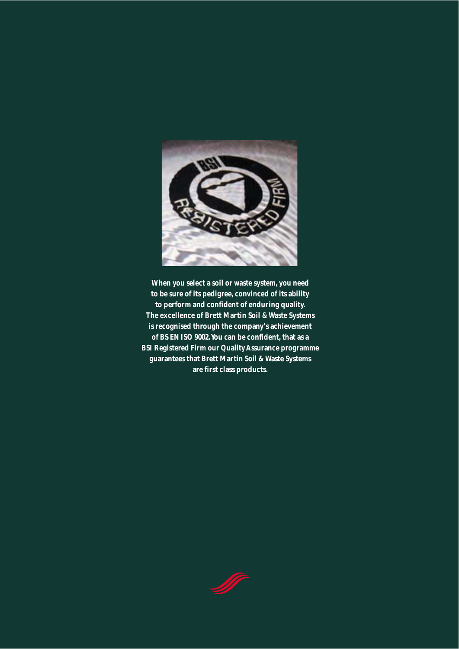

**When you select a soil or waste system, you need to be sure of its pedigree, convinced of its ability to perform and confident of enduring quality. The excellence of Brett Martin Soil & Waste Systems is recognised through the company's achievement of BS EN ISO 9002. You can be confident, that as a BSI Registered Firm our Quality Assurance programme guarantees that Brett Martin Soil & Waste Systems are first class products.**

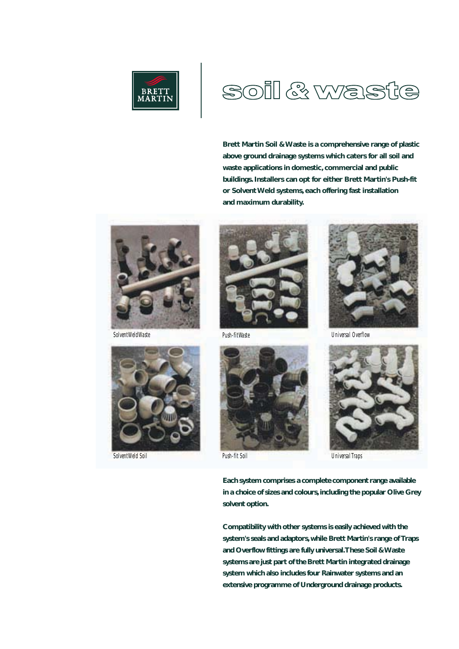

# SOII & Wast ke

**Brett Martin Soil & Waste is a comprehensive range of plastic above ground drainage systems which caters for all soil and waste applications in domestic, commercial and public buildings. Installers can opt for either Brett Martin's Push-fit or Solvent Weld systems, each offering fast installation and maximum durability.**



*Solvent Weld Waste*



*Solvent Weld Soil*









*Push-fit Soil Universal Traps*

**Each system comprises a complete component range available in a choice of sizes and colours, including the popular Olive Grey solvent option.**

**Compatibility with other systems is easily achieved with the system's seals and adaptors, while Brett Martin's range of Traps and Overflow fittings are fully universal. These Soil & Waste systems are just part of the Brett Martin integrated drainage system which also includes four Rainwater systems and an extensive programme of Underground drainage products.**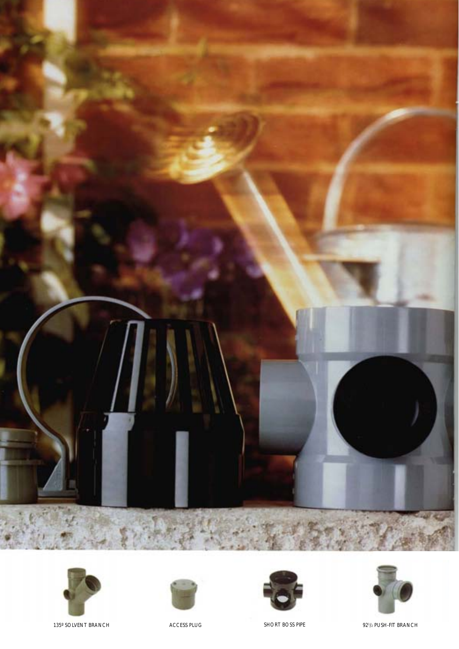









135° SOLVENT BRANCH ACCESS PLUG ACCESS PLUG SHORT BOSS PIPE

921/2 PUSH-FIT BRANCH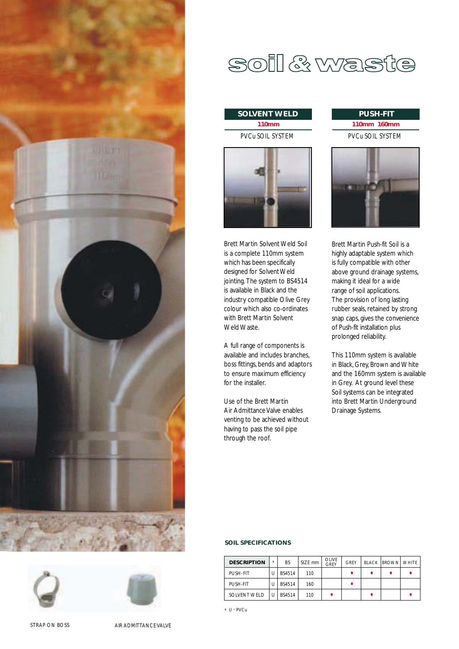





# soil & waste

#### **110mm SOLVENT WELD PUSH-FIT**

PVCu SOIL SYSTEM



Brett Martin Solvent Weld Soil is a complete 110mm system which has been specifically designed for Solvent Weld jointing. The system to BS4514 is available in Black and the industry compatible Olive Grey colour which also co-ordinates with Brett Martin Solvent Weld Waste.

A full range of components is available and includes branches, boss fittings, bends and adaptors to ensure maximum efficiency for the installer.

Use of the Brett Martin Air Admittance Valve enables venting to be achieved without having to pass the soil pipe through the roof.

# **110mm 160mm** PVCu SOIL SYSTEM



Brett Martin Push-fit Soil is a highly adaptable system which is fully compatible with other above ground drainage systems, making it ideal for a wide range of soil applications. The provision of long lasting rubber seals, retained by strong snap caps, gives the convenience of Push-fit installation plus prolonged reliability.

This 110mm system is available in Black, Grey, Brown and White and the 160mm system is available in Grey. At ground level these Soil systems can be integrated into Brett Martin Underground Drainage Systems.

#### **SOIL SPECIFICATIONS**

| <b>DESCRIPTION</b>  | $\star$ | <b>BS</b>     | SIZE mm | OLIVE<br>GREY | GRFY | <b>BLACK IBROWN WHITE</b> |  |
|---------------------|---------|---------------|---------|---------------|------|---------------------------|--|
| PUSH-FIT            |         | <b>BS4514</b> | 110     |               |      |                           |  |
| PUSH-FIT            |         | <b>BS4514</b> | 160     |               |      |                           |  |
| <b>SOLVENT WELD</b> |         | <b>BS4514</b> | 110     |               |      |                           |  |

\* U - PVCu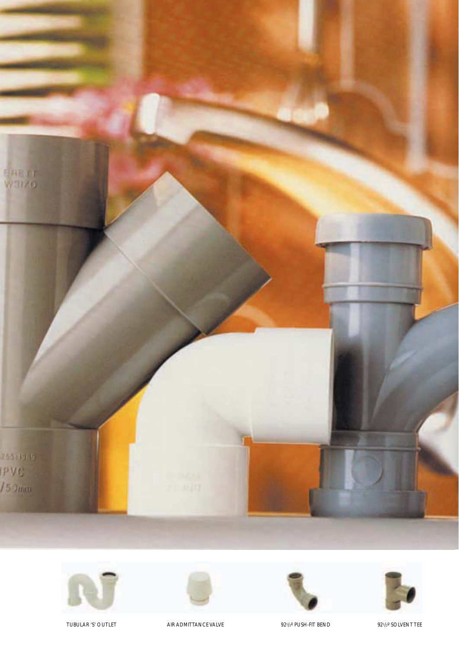









TUBULAR 'S' OUTLET AIR ADMITTANCE VALVE 1 221/2º PUSH-FIT BEND 921/2º SOLVENT TEE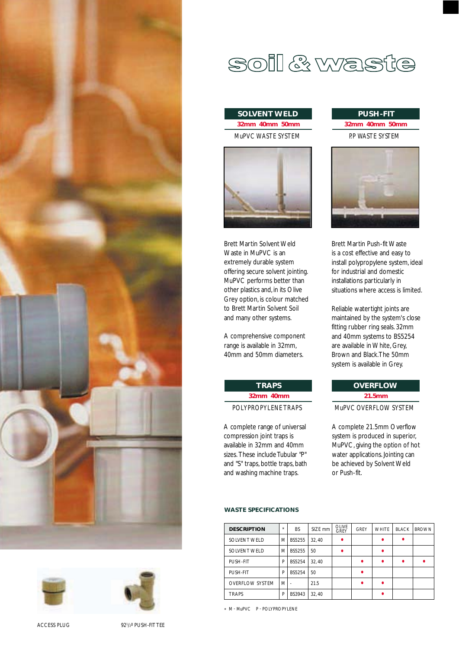





ACCESS PLUG 921/2º PUSH-FIT TEE

# SOII & Waste

# **32mm 40mm 50mm** MuPVC WASTE SYSTEM **SOLVENT WELD**



Brett Martin Solvent Weld Waste in MuPVC is an extremely durable system offering secure solvent jointing. MuPVC performs better than other plastics and, in its Olive Grey option, is colour matched to Brett Martin Solvent Soil and many other systems.

A comprehensive component range is available in 32mm, 40mm and 50mm diameters.

> **32mm 40mm** POLYPROPYLENE TRAPS

A complete range of universal compression joint traps is available in 32mm and 40mm sizes. These include Tubular "P" and "S" traps, bottle traps, bath and washing machine traps.

**TRAPS**

# **32mm 40mm 50mm** P.P WASTE SYSTEM **PUSH-FIT**



Brett Martin Push-fit Waste is a cost effective and easy to install polypropylene system, ideal for industrial and domestic installations particularly in situations where access is limited.

Reliable water tight joints are maintained by the system's close fitting rubber ring seals. 32mm and 40mm systems to BS5254 are available in White, Grey, Brown and Black. The 50mm system is available in Grey.

### **21.5mm OVERFLOW**

#### MuPVC OVERFLOW SYSTEM

A complete 21.5mm Overflow system is produced in superior, MuPVC, giving the option of hot water applications. Jointing can be achieved by Solvent Weld or Push-fit.

#### **WASTE SPECIFICATIONS**

| <b>DESCRIPTION</b>     | $\star$ | <b>BS</b>     | SIZE mm | <b>OLIVE</b><br><b>GREY</b> | <b>GREY</b> | <b>WHITE</b> | <b>BLACK</b> | <b>BROWN</b> |
|------------------------|---------|---------------|---------|-----------------------------|-------------|--------------|--------------|--------------|
| SOLVENT WELD           | M       | <b>BS5255</b> | 32.40   |                             |             |              |              |              |
| <b>SOLVENT WELD</b>    | M       | BS5255        | 50      |                             |             |              |              |              |
| PUSH-FIT               | P       | <b>BS5254</b> | 32.40   |                             | ٠           |              |              |              |
| PUSH-FIT               | P       | <b>BS5254</b> | 50      |                             | ٠           |              |              |              |
| <b>OVERFLOW SYSTEM</b> | M       |               | 21.5    |                             | ٠           |              |              |              |
| <b>TRAPS</b>           | P       | <b>BS3943</b> | 32.40   |                             |             |              |              |              |

\* M - MuPVC P - POLYPROPYLENE